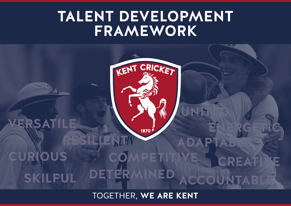# **TALENT DEVELOPMENT FRAMEWORK**

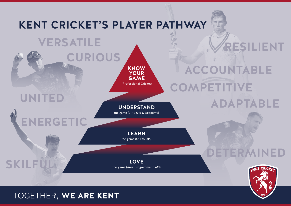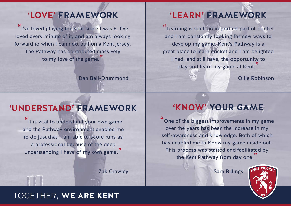"I've loved playing for Kent since I was 6. I've loved every minute of it, and am always looking forward to when I can next pull on a Kent jersey. The Pathway has contributed massively to my love of the game."

Dan Bell-Drummond

## **'LOVE' FRAMEWORK 'LEARN' FRAMEWORK**

" Learning is such an important part of cricket and I am constantly looking for new ways to develop my game. Kent's Pathway is a great place to learn cricket and I am delighted I had, and still have, the opportunity to play and learn my game at Kent."

Ollie Robinson

## **'UNDERSTAND' FRAMEWORK**

"It is vital to understand your own game and the Pathway environment enabled me to do just that. I am able to score runs as a professional because of the deep understanding I have of my own game.

over the years has been the increase in my

self-awareness and knowledge. Both of which has enabled me to Know my game inside out. This process was started and facilitated by the Kent Pathway from day one. "

**'KNOW' YOUR GAME**

"One of the biggest improvements in my game

Zak Crawley

Sam Billings

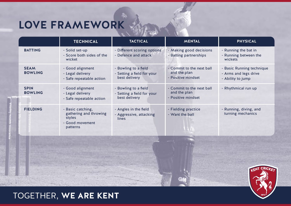# **LOVE FRAMEWORK**

|                               | <b>TECHNICAL</b>                                                                     | <b>TACTICAL</b>                                                     | <b>MENTAL</b>                                                   | <b>PHYSICAL</b>                                                         |
|-------------------------------|--------------------------------------------------------------------------------------|---------------------------------------------------------------------|-----------------------------------------------------------------|-------------------------------------------------------------------------|
| <b>BATTING</b>                | - Solid set-up<br>- Score both sides of the<br>wicket                                | - Different scoring options<br>- Defence and attack                 | - Making good decisions<br>- Batting partnerships               | - Running the bat in<br>- Running between the<br>wickets                |
| <b>SEAM</b><br><b>BOWLING</b> | - Good alignment<br>- Legal delivery<br>- Safe repeatable action                     | - Bowling to a field<br>- Setting a field for your<br>best delivery | - Commit to the next ball<br>and the plan<br>- Positive mindset | - Basic Running technique<br>- Arms and legs drive<br>- Ability to jump |
| <b>SPIN</b><br><b>BOWLING</b> | - Good alignment<br>- Legal delivery<br>- Safe repeatable action                     | - Bowling to a field<br>- Setting a field for your<br>best delivery | - Commit to the next ball<br>and the plan<br>- Positive mindset | - Rhythmical run up                                                     |
| <b>FIELDING</b>               | - Basic catching,<br>gathering and throwing<br>styles<br>- Good movement<br>patterns | - Angles in the field<br>- Aggressive, attacking<br><b>lines</b>    | - Fielding practice<br>- Want the ball                          | - Running, diving, and<br>turning mechanics                             |

淼

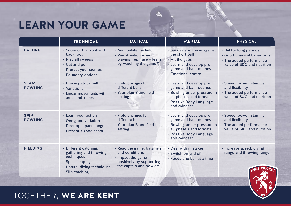## **LEARN YOUR GAME**

|                               | <b>TECHNICAL</b>                                                                                                                    | <b>TACTICAL</b>                                                                                                        | <b>MENTAL</b>                                                                                                                                          | <b>PHYSICAL</b>                                                                                               |
|-------------------------------|-------------------------------------------------------------------------------------------------------------------------------------|------------------------------------------------------------------------------------------------------------------------|--------------------------------------------------------------------------------------------------------------------------------------------------------|---------------------------------------------------------------------------------------------------------------|
| <b>BATTING</b>                | - Score of the front and<br>back foot<br>- Play all sweeps<br>- Cut and pull<br>- Protect your stumps<br>- Boundary options         | - Manipulate the field<br>- Pay attention when<br>playing (rephrase - learn<br>by watching the game?)                  | - Survive and thrive against<br>the short ball<br>- Hit the gaps<br>Learn and develop pre<br>game and ball routines<br>- Emotional control             | - Bat for long periods<br>- Good physical behaviours<br>- The added performance<br>value of S&C and nutrition |
| <b>SEAM</b><br><b>BOWLING</b> | - Primary stock ball<br>- Variations<br>- Linear movements with<br>arms and knees                                                   | - Field changes for<br>different balls<br>- Your plan B and field<br>setting                                           | - Learn and develop pre<br>game and ball routines<br>- Bowling under pressure in<br>all phase's and formats<br>- Positive Body Language<br>and Mindset | - Speed, power, stamina<br>and flexibility<br>- The added performance<br>value of S&C and nutrition           |
| <b>SPIN</b><br><b>BOWLING</b> | - Learn your action<br>- One good variation<br>- Develop a pace range<br>- Present a good seam                                      | - Field changes for<br>different balls<br>- Your plan B and field<br>setting                                           | - Learn and develop pre<br>game and ball routines<br>- Bowling under pressure in<br>all phase's and formats<br>- Positive Body Language<br>and Mindset | - Speed, power, stamina<br>and flexibility<br>- The added performance<br>value of S&C and nutrition           |
| <b>FIELDING</b>               | - Different catching,<br>gathering and throwing<br>techniques<br>- Split-stepping<br>- Natural diving techniques<br>- Slip catching | - Read the game, batsmen<br>and conditions<br>- Impact the game<br>positively by supporting<br>the captain and bowlers | - Deal with mistakes<br>- Switch on and off<br>- Focus one ball at a time                                                                              | - Increase speed, diving<br>range and throwing range                                                          |

 $\sqrt{g}$ 

剥

 $\overline{\text{d}}$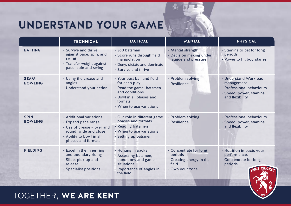## **UNDERSTAND YOUR GAME**

|                               | <b>TECHNICAL</b>                                                                                                                                        | <b>TACTICAL</b>                                                                                                                                              | <b>MENTAL</b>                                                                             | <b>PHYSICAL</b>                                                                                                |
|-------------------------------|---------------------------------------------------------------------------------------------------------------------------------------------------------|--------------------------------------------------------------------------------------------------------------------------------------------------------------|-------------------------------------------------------------------------------------------|----------------------------------------------------------------------------------------------------------------|
| <b>BATTING</b>                | - Survive and thrive<br>against pace, spin, and<br>swing<br>- Transfer weight against<br>pace, spin and swing                                           | - 360 batsman<br>- Score runs through field<br>manipulation<br>- Deny, dictate and dominate<br>- Survive and thrive                                          | - Mental strength<br>- Decision making under<br>fatigue and pressure                      | - Stamina to bat for long<br>periods<br>- Power to hit boundaries                                              |
| <b>SEAM</b><br><b>BOWLING</b> | - Using the crease and<br>angles<br>- Understand your action                                                                                            | - Your best ball and field<br>for each play<br>- Read the game, batsmen<br>and conditions<br>- Bowl in all phases and<br>formats<br>- When to use variations | - Problem solving<br>- Resilience                                                         | - Understand Workload<br>management<br>- Professional behaviours<br>- Speed, power, stamina<br>and flexibility |
| <b>SPIN</b><br><b>BOWLING</b> | - Additional variations<br>- Expand pace range<br>- Use of crease - over and<br>round, wide and close<br>- Ability to bowl in all<br>phases and formats | - Our role in different game<br>phases and formats<br>- Reading batsmen<br>- When to use variations<br>- Setting up batsmen                                  | - Problem solving<br>- Resilience                                                         | - Professional behaviours<br>- Speed, power, stamina<br>and flexibility                                        |
| <b>FIELDING</b>               | - Excel in the inner ring<br>and boundary riding<br>- Slide, pick up and<br>release<br>- Specialist positions                                           | - Hunting in packs<br>- Assessing batsmen,<br>conditions and game<br>situations<br>- Importance of angles in<br>the field                                    | - Concentrate for long<br>periods<br>- Creating energy in the<br>field<br>- Own your zone | - Nutrition impacts your<br>performance.<br>- Concentrate for long<br>periods                                  |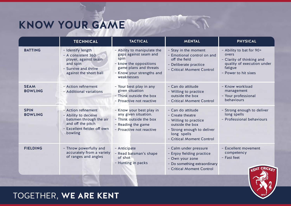# **KNOW YOUR GAME**

|                               | <b>TECHNICAL</b>                                                                                                                      | <b>TACTICAL</b>                                                                                                                                             | <b>MENTAL</b>                                                                                                                                               | <b>PHYSICAL</b>                                                                                                                 |
|-------------------------------|---------------------------------------------------------------------------------------------------------------------------------------|-------------------------------------------------------------------------------------------------------------------------------------------------------------|-------------------------------------------------------------------------------------------------------------------------------------------------------------|---------------------------------------------------------------------------------------------------------------------------------|
| <b>BATTING</b>                | - Identify length<br>- A consistent 360<br>player, against seam<br>and spin<br>- Survive and thrive<br>against the short ball         | - Ability to manipulate the<br>gaps against seam and<br>spin<br>- know the oppositions<br>game plans and threats<br>- Know your strengths and<br>weaknesses | - Stay in the moment<br>- Emotional control on and<br>off the field<br>- Deliberate practice<br>- Critical Moment Control                                   | - Ability to bat for 90+<br>overs<br>- Clarity of thinking and<br>quality of execution under<br>fatigue<br>- Power to hit sixes |
| <b>SEAM</b><br><b>BOWLING</b> | - Action refinement<br>- Additional variations                                                                                        | - Your best play in any<br>given situation<br>- Think outside the box<br>- Proactive not reactive                                                           | - Can do attitude<br>- Willing to practice<br>outside the box<br>- Critical Moment Control                                                                  | - Know workload<br>management<br>- Your professional<br>behaviours                                                              |
| <b>SPIN</b><br><b>BOWLING</b> | - Action refinement<br>- Ability to deceive<br>batsmen through the air<br>and off the pitch<br>- Excellent fielder off own<br>bowling | - Know your best play in<br>any given situation.<br>- Think outside the box<br>- Reading the game<br>- Proactive not reactive                               | - Can do attitude<br>- Create theatre<br>- Willing to practice<br>outside the box<br>- Strong enough to deliver<br>long spells<br>- Critical Moment Control | - Strong enough to deliver<br>long spells<br>- Professional behaviours                                                          |
| <b>FIELDING</b>               | - Throw powerfully and<br>accurately from a variety<br>of ranges and angles                                                           | - Anticipate<br>- Read batsman's shape<br>of shot<br>- Hunting in packs                                                                                     | - Calm under pressure<br>- Enjoy fielding practice<br>- Own your zone<br>- Do something extraordinary<br>- Critical Moment Control                          | - Excellent movement<br>competency<br>- Fast feet                                                                               |
|                               |                                                                                                                                       |                                                                                                                                                             |                                                                                                                                                             |                                                                                                                                 |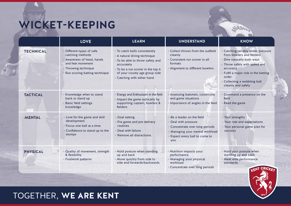**WICKET-KEEPING**

|                  | <b>LOVE</b>                                                                                                                                                 | <b>LEARN</b>                                                                                                                                                                                                         | <b>UNDERSTAND</b>                                                                                                                                                 | <b>KNOW</b>                                                                                                                                                                                                                                       |
|------------------|-------------------------------------------------------------------------------------------------------------------------------------------------------------|----------------------------------------------------------------------------------------------------------------------------------------------------------------------------------------------------------------------|-------------------------------------------------------------------------------------------------------------------------------------------------------------------|---------------------------------------------------------------------------------------------------------------------------------------------------------------------------------------------------------------------------------------------------|
| <b>TECHNICAL</b> | - Different types of safe<br>catching methods<br>- Awareness of head, hands<br>and feet movement<br>- Throwing technique<br>- Run scoring batting technique | - To catch balls consistently<br>- A natural diving technique<br>- To be able to throw safely and<br>accurately<br>- To be a run scorer in the top 6<br>of your county age group side<br>- Catching with either hand | - Collect throws from the outfield<br>cleanly<br>- Consistent run scorer in all<br>formats<br>- Alignment to different bowlers                                    | - Catching reliably under pressure<br>from bowlers and fielders<br>- Dive naturally both ways<br>- Throw safely with speed and<br>accuracy<br>- Fulfil a major role in the batting<br>order<br>- Collecting a wobbling ball<br>cleanly and safely |
| <b>TACTICAL</b>  | - Knowledge when to stand<br>back or stand up<br>- Basic field settings<br>knowledge                                                                        | - Energy and Enthusiasm in the field<br>- Impact the game tactically by<br>supporting captain, bowlers &<br>fielders                                                                                                 | - Assessing batsmen, conditions<br>and game situations<br>- Importance of angles in the field                                                                     | - Command a presence on the<br>field<br>- Read the game                                                                                                                                                                                           |
| <b>MENTAL</b>    | - Love for the game and skill<br>development<br>- Focus one ball at a time<br>- Confidence to stand up to the<br>stumps                                     | - Goal setting<br>- Pre game and pre delivery<br>routines<br>- Deal with failure<br>- Remove all distractions                                                                                                        | - Be a leader on the field<br>- Deal with pressure<br>- Concentrate over long periods<br>- Managing your mental workload<br>- Expect every ball to come to<br>you | - Your strengths<br>- Your role and expectations<br>- Your personal game plan for<br><b>SUCCESS</b>                                                                                                                                               |
| <b>PHYSICAL</b>  | - Quality of movement, strength<br>& flexibility<br>- Footwork patterns                                                                                     | - Hold posture when standing<br>up and back<br>- Move quickly from side to<br>side and forwards/backwards                                                                                                            | - Nutrition impacts your<br>performance<br>- Managing your physical<br>workload<br>- Concentrate over long periods                                                | - Hold your posture when<br>standing up and back<br>- Meet elite performance<br>standards                                                                                                                                                         |

## TOGETHER, **WE ARE KENT**

**SORBO**